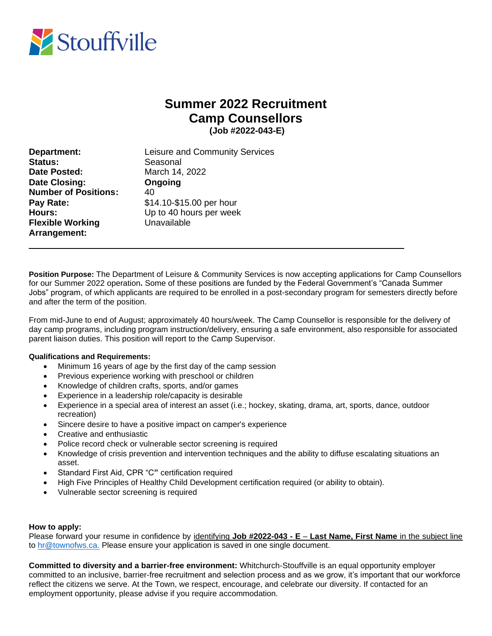

## **Summer 2022 Recruitment Camp Counsellors (Job #2022-043-E)**

**Status:** Seasonal **Date Posted:** March 14, 2022 **Date Closing: Ongoing Number of Positions:** 40 **Pay Rate:** \$14.10-\$15.00 per hour **Flexible Working Constructs** Unavailable **Arrangement:** 

**Department:** Leisure and Community Services **Hours:** Up to 40 hours per week

 $\_$  , and the set of the set of the set of the set of the set of the set of the set of the set of the set of the set of the set of the set of the set of the set of the set of the set of the set of the set of the set of th

**Position Purpose:** The Department of Leisure & Community Services is now accepting applications for Camp Counsellors for our Summer 2022 operation**.** Some of these positions are funded by the Federal Government's "Canada Summer Jobs" program, of which applicants are required to be enrolled in a post-secondary program for semesters directly before and after the term of the position.

From mid-June to end of August; approximately 40 hours/week. The Camp Counsellor is responsible for the delivery of day camp programs, including program instruction/delivery, ensuring a safe environment, also responsible for associated parent liaison duties. This position will report to the Camp Supervisor.

## **Qualifications and Requirements:**

- Minimum 16 years of age by the first day of the camp session
- Previous experience working with preschool or children
- Knowledge of children crafts, sports, and/or games
- Experience in a leadership role/capacity is desirable
- Experience in a special area of interest an asset (i.e.; hockey, skating, drama, art, sports, dance, outdoor recreation)
- Sincere desire to have a positive impact on camper's experience
- Creative and enthusiastic
- Police record check or vulnerable sector screening is required
- Knowledge of crisis prevention and intervention techniques and the ability to diffuse escalating situations an asset.
- Standard First Aid, CPR "C**"** certification required
- High Five Principles of Healthy Child Development certification required (or ability to obtain).
- Vulnerable sector screening is required

## **How to apply:**

Please forward your resume in confidence by identifying **Job #2022-043 - E** – **Last Name, First Name** in the subject line to [hr@townofws.ca.](mailto:hr@townofws.ca) Please ensure your application is saved in one single document.

**Committed to diversity and a barrier-free environment:** Whitchurch-Stouffville is an equal opportunity employer committed to an inclusive, barrier-free recruitment and selection process and as we grow, it's important that our workforce reflect the citizens we serve. At the Town, we respect, encourage, and celebrate our diversity. If contacted for an employment opportunity, please advise if you require accommodation.